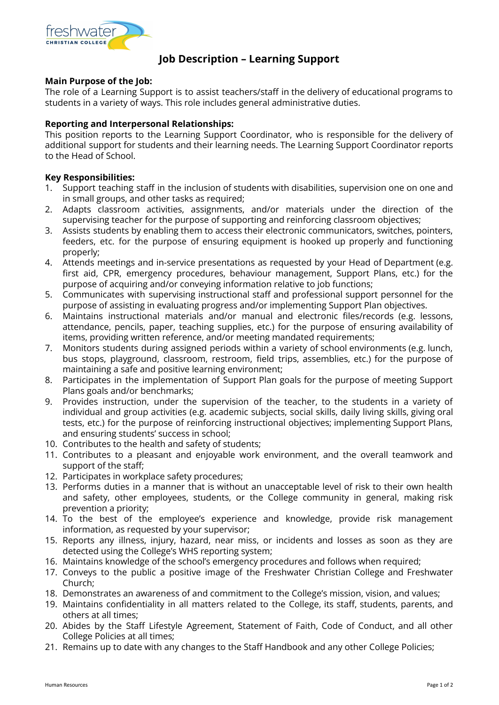

# **Job Description – Learning Support**

## **Main Purpose of the Job:**

The role of a Learning Support is to assist teachers/staff in the delivery of educational programs to students in a variety of ways. This role includes general administrative duties.

## **Reporting and Interpersonal Relationships:**

This position reports to the Learning Support Coordinator, who is responsible for the delivery of additional support for students and their learning needs. The Learning Support Coordinator reports to the Head of School.

## **Key Responsibilities:**

- 1. Support teaching staff in the inclusion of students with disabilities, supervision one on one and in small groups, and other tasks as required;
- 2. Adapts classroom activities, assignments, and/or materials under the direction of the supervising teacher for the purpose of supporting and reinforcing classroom objectives;
- 3. Assists students by enabling them to access their electronic communicators, switches, pointers, feeders, etc. for the purpose of ensuring equipment is hooked up properly and functioning properly;
- 4. Attends meetings and in-service presentations as requested by your Head of Department (e.g. first aid, CPR, emergency procedures, behaviour management, Support Plans, etc.) for the purpose of acquiring and/or conveying information relative to job functions;
- 5. Communicates with supervising instructional staff and professional support personnel for the purpose of assisting in evaluating progress and/or implementing Support Plan objectives.
- 6. Maintains instructional materials and/or manual and electronic files/records (e.g. lessons, attendance, pencils, paper, teaching supplies, etc.) for the purpose of ensuring availability of items, providing written reference, and/or meeting mandated requirements;
- 7. Monitors students during assigned periods within a variety of school environments (e.g. lunch, bus stops, playground, classroom, restroom, field trips, assemblies, etc.) for the purpose of maintaining a safe and positive learning environment;
- 8. Participates in the implementation of Support Plan goals for the purpose of meeting Support Plans goals and/or benchmarks;
- 9. Provides instruction, under the supervision of the teacher, to the students in a variety of individual and group activities (e.g. academic subjects, social skills, daily living skills, giving oral tests, etc.) for the purpose of reinforcing instructional objectives; implementing Support Plans, and ensuring students' success in school;
- 10. Contributes to the health and safety of students;
- 11. Contributes to a pleasant and enjoyable work environment, and the overall teamwork and support of the staff;
- 12. Participates in workplace safety procedures;
- 13. Performs duties in a manner that is without an unacceptable level of risk to their own health and safety, other employees, students, or the College community in general, making risk prevention a priority;
- 14. To the best of the employee's experience and knowledge, provide risk management information, as requested by your supervisor;
- 15. Reports any illness, injury, hazard, near miss, or incidents and losses as soon as they are detected using the College's WHS reporting system;
- 16. Maintains knowledge of the school's emergency procedures and follows when required;
- 17. Conveys to the public a positive image of the Freshwater Christian College and Freshwater Church;
- 18. Demonstrates an awareness of and commitment to the College's mission, vision, and values;
- 19. Maintains confidentiality in all matters related to the College, its staff, students, parents, and others at all times;
- 20. Abides by the Staff Lifestyle Agreement, Statement of Faith, Code of Conduct, and all other College Policies at all times;
- 21. Remains up to date with any changes to the Staff Handbook and any other College Policies;